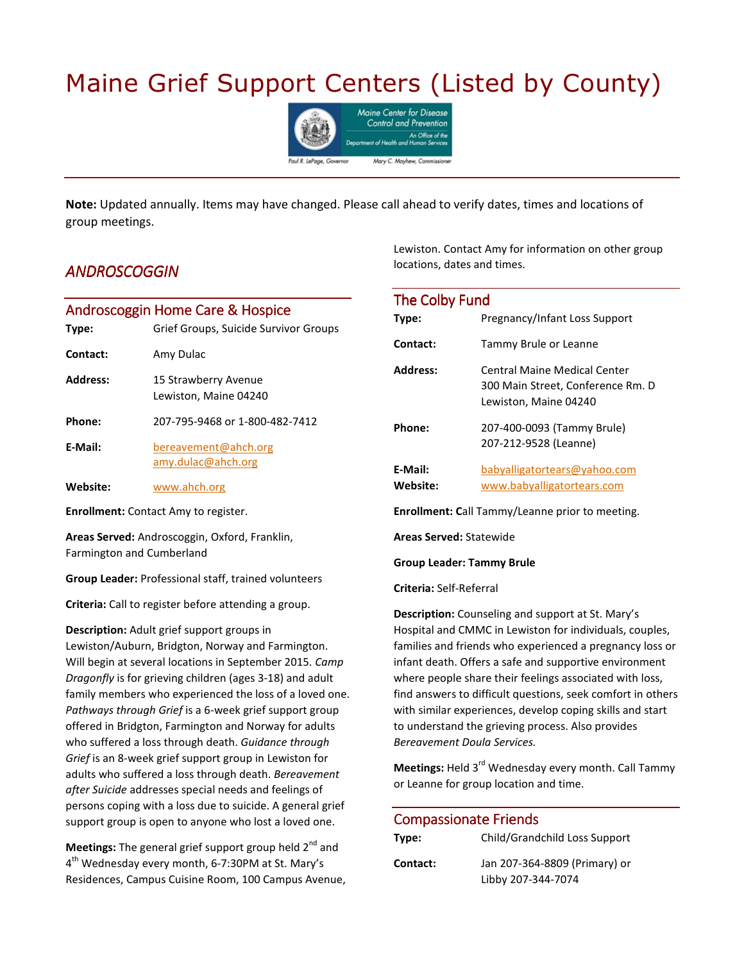# Maine Grief Support Centers (Listed by County)



**Note:** Updated annually. Items may have changed. Please call ahead to verify dates, times and locations of group meetings.

#### *ANDROSCOGGIN NDROSCOGGIN*

### Androscoggin Home Care & Hospice

| Type:    | Grief Groups, Suicide Survivor Groups         |
|----------|-----------------------------------------------|
| Contact: | Amy Dulac                                     |
| Address: | 15 Strawberry Avenue<br>Lewiston, Maine 04240 |
| Phone:   | 207-795-9468 or 1-800-482-7412                |
| E-Mail:  | bereavement@ahch.org<br>amy.dulac@ahch.org    |
| Website: | www.ahch.org                                  |

**Enrollment:** Contact Amy to register.

**Areas Served:** Androscoggin, Oxford, Franklin, Farmington and Cumberland

**Group Leader:** Professional staff, trained volunteers

**Criteria:** Call to register before attending a group.

**Description:** Adult grief support groups in Lewiston/Auburn, Bridgton, Norway and Farmington. Will begin at several locations in September 2015. *Camp Dragonfly* is for grieving children (ages 3-18) and adult family members who experienced the loss of a loved one. *Pathways through Grief* is a 6-week grief support group offered in Bridgton, Farmington and Norway for adults who suffered a loss through death. *Guidance through Grief* is an 8-week grief support group in Lewiston for adults who suffered a loss through death. *Bereavement after Suicide* addresses special needs and feelings of persons coping with a loss due to suicide. A general grief support group is open to anyone who lost a loved one.

**Meetings:** The general grief support group held 2<sup>nd</sup> and  $4^{\text{th}}$  Wednesday every month, 6-7:30PM at St. Mary's Residences, Campus Cuisine Room, 100 Campus Avenue, Lewiston. Contact Amy for information on other group locations, dates and times.

| The Colby Fund      |                                                                                            |
|---------------------|--------------------------------------------------------------------------------------------|
| Type:               | <b>Pregnancy/Infant Loss Support</b>                                                       |
| Contact:            | Tammy Brule or Leanne                                                                      |
| Address:            | Central Maine Medical Center<br>300 Main Street, Conference Rm. D<br>Lewiston, Maine 04240 |
| Phone:              | 207-400-0093 (Tammy Brule)<br>207-212-9528 (Leanne)                                        |
| E-Mail:<br>Website: | babyalligatortears@yahoo.com<br>www.babyalligatortears.com                                 |

**Enrollment: C**all Tammy/Leanne prior to meeting.

**Areas Served:** Statewide

**Group Leader: Tammy Brule** 

**Criteria:** Self-Referral

**Description:** Counseling and support at St. Mary's Hospital and CMMC in Lewiston for individuals, couples, families and friends who experienced a pregnancy loss or infant death. Offers a safe and supportive environment where people share their feelings associated with loss, find answers to difficult questions, seek comfort in others with similar experiences, develop coping skills and start to understand the grieving process. Also provides *Bereavement Doula Services.*

Meetings: Held 3<sup>rd</sup> Wednesday every month. Call Tammy or Leanne for group location and time.

#### Compassionate Friends

| Type:    | Child/Grandchild Loss Support |
|----------|-------------------------------|
| Contact: | Jan 207-364-8809 (Primary) or |
|          | Libby 207-344-7074            |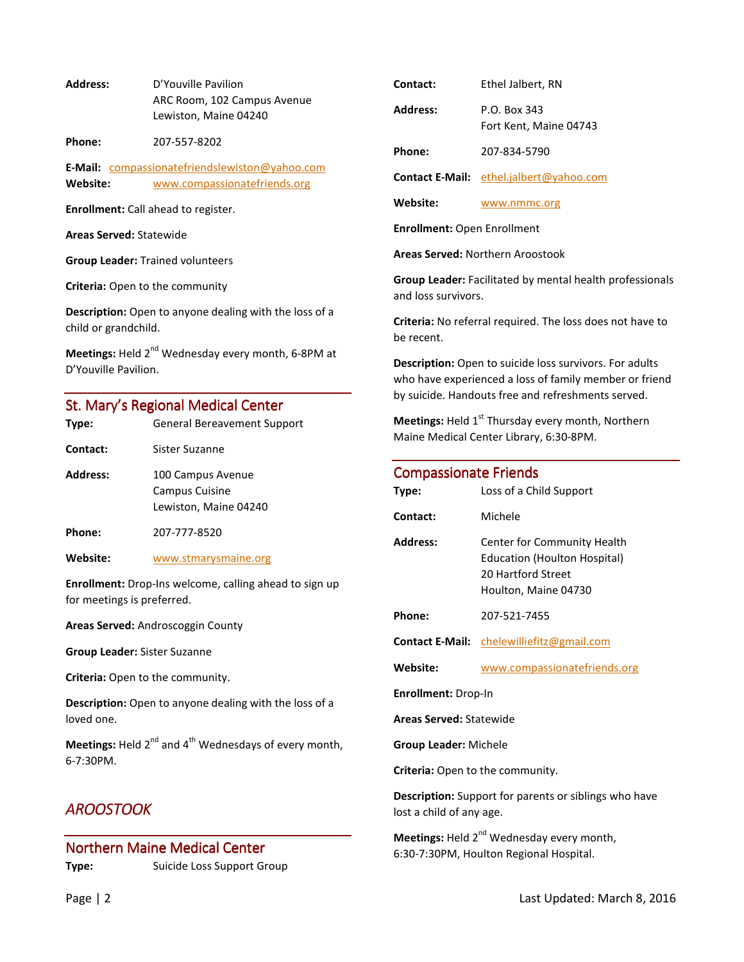**Address:** D'Youville Pavilion ARC Room, 102 Campus Avenue Lewiston, Maine 04240

**Phone:** 207-557-8202

**E-Mail:** compassionatefriendslewiston@yahoo.com **Website:** www.compassionatefriends.org

**Enrollment:** Call ahead to register.

**Areas Served:** Statewide

**Group Leader:** Trained volunteers

**Criteria:** Open to the community

**Description:** Open to anyone dealing with the loss of a child or grandchild.

**Meetings:** Held 2<sup>nd</sup> Wednesday every month, 6-8PM at D'Youville Pavilion.

#### St. Mary's Regional Medical Center

| Type:           | <b>General Bereavement Support</b>                                  |
|-----------------|---------------------------------------------------------------------|
| Contact:        | Sister Suzanne                                                      |
| <b>Address:</b> | 100 Campus Avenue<br><b>Campus Cuisine</b><br>Lewiston, Maine 04240 |
| Phone:          | 207-777-8520                                                        |

**Website:** www.stmarysmaine.org

**Enrollment:** Drop-Ins welcome, calling ahead to sign up for meetings is preferred.

**Areas Served:** Androscoggin County

**Group Leader:** Sister Suzanne

**Criteria:** Open to the community.

**Description:** Open to anyone dealing with the loss of a loved one.

**Meetings:** Held 2<sup>nd</sup> and 4<sup>th</sup> Wednesdays of every month, 6-7:30PM.

### *AROOSTOOK AROOSTOOK*

# Northern Maine Medical Center **Type:** Suicide Loss Support Group

| Contact:        | Ethel Jalbert, RN                              |
|-----------------|------------------------------------------------|
| <b>Address:</b> | P.O. Box 343<br>Fort Kent, Maine 04743         |
| Phone:          | 207-834-5790                                   |
|                 | <b>Contact E-Mail:</b> ethel.jalbert@yahoo.com |

**Website:** www.nmmc.org

**Enrollment:** Open Enrollment

**Areas Served:** Northern Aroostook

**Group Leader:** Facilitated by mental health professionals and loss survivors.

**Criteria:** No referral required. The loss does not have to be recent.

**Description:** Open to suicide loss survivors. For adults who have experienced a loss of family member or friend by suicide. Handouts free and refreshments served.

**Meetings:** Held 1<sup>st</sup> Thursday every month, Northern Maine Medical Center Library, 6:30-8PM.

#### Compassionate Friends

| Type:                                                                                    | Loss of a Child Support                                                                                          |  |
|------------------------------------------------------------------------------------------|------------------------------------------------------------------------------------------------------------------|--|
| Contact:                                                                                 | Michele                                                                                                          |  |
| <b>Address:</b>                                                                          | Center for Community Health<br><b>Education (Houlton Hospital)</b><br>20 Hartford Street<br>Houlton, Maine 04730 |  |
| Phone:                                                                                   | 207-521-7455                                                                                                     |  |
| <b>Contact E-Mail:</b>                                                                   | chelewilliefitz@gmail.com                                                                                        |  |
| Website:                                                                                 | www.compassionatefriends.org                                                                                     |  |
| <b>Enrollment: Drop-In</b>                                                               |                                                                                                                  |  |
| <b>Areas Served: Statewide</b>                                                           |                                                                                                                  |  |
| <b>Group Leader: Michele</b>                                                             |                                                                                                                  |  |
| Criteria: Open to the community.                                                         |                                                                                                                  |  |
| <b>Description:</b> Support for parents or siblings who have<br>lost a child of any age. |                                                                                                                  |  |

**Meetings:** Held 2<sup>nd</sup> Wednesday every month, 6:30-7:30PM, Houlton Regional Hospital.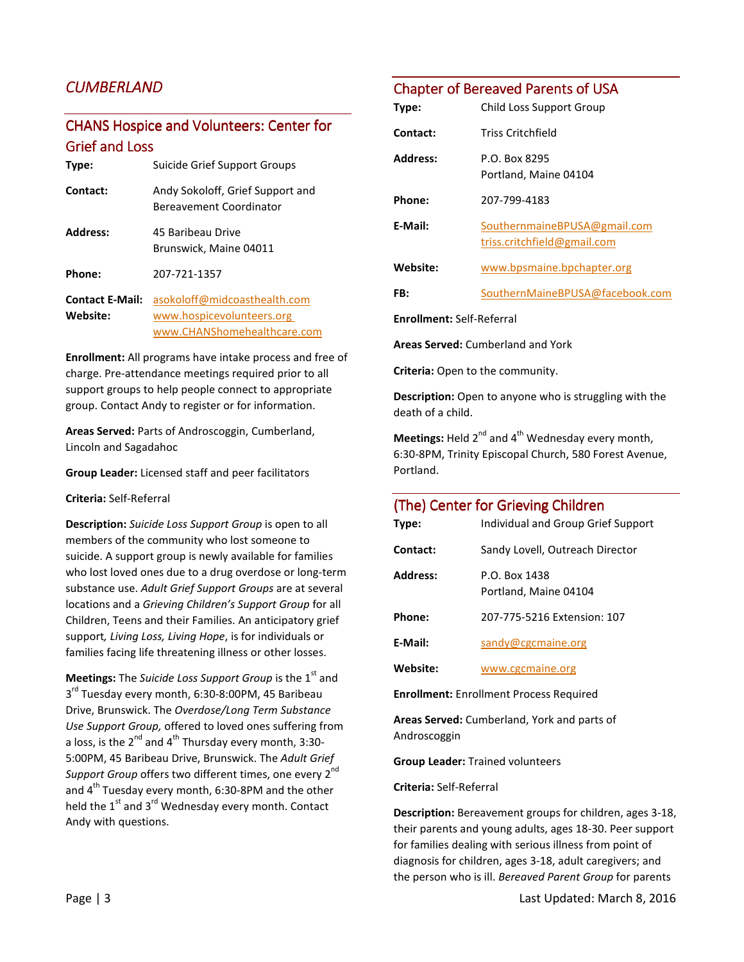# *CUMBERLAND*

# CHANS Hospice and Volunteers: Center for **Grief and Loss**

| Type:                              | Suicide Grief Support Groups                                                             |
|------------------------------------|------------------------------------------------------------------------------------------|
| Contact:                           | Andy Sokoloff, Grief Support and<br>Bereavement Coordinator                              |
| Address:                           | 45 Baribeau Drive<br>Brunswick, Maine 04011                                              |
| Phone:                             | 207-721-1357                                                                             |
| <b>Contact E-Mail:</b><br>Website: | asokoloff@midcoasthealth.com<br>www.hospicevolunteers.org<br>www.CHANShomehealthcare.com |

**Enrollment:** All programs have intake process and free of charge. Pre-attendance meetings required prior to all support groups to help people connect to appropriate group. Contact Andy to register or for information.

**Areas Served:** Parts of Androscoggin, Cumberland, Lincoln and Sagadahoc

**Group Leader:** Licensed staff and peer facilitators

**Criteria:** Self-Referral

**Description:** *Suicide Loss Support Group* is open to all members of the community who lost someone to suicide. A support group is newly available for families who lost loved ones due to a drug overdose or long-term substance use. *Adult Grief Support Groups* are at several locations and a *Grieving Children's Support Group* for all Children, Teens and their Families. An anticipatory grief support*, Living Loss, Living Hope*, is for individuals or families facing life threatening illness or other losses.

**Meetings:** The *Suicide Loss Support Group* is the 1<sup>st</sup> and 3<sup>rd</sup> Tuesday every month, 6:30-8:00PM, 45 Baribeau Drive, Brunswick. The *Overdose/Long Term Substance Use Support Group,* offered to loved ones suffering from a loss, is the  $2^{nd}$  and  $4^{th}$  Thursday every month, 3:30-5:00PM, 45 Baribeau Drive, Brunswick. The *Adult Grief*  Support Group offers two different times, one every 2<sup>nd</sup> and 4<sup>th</sup> Tuesday every month, 6:30-8PM and the other held the  $1<sup>st</sup>$  and  $3<sup>rd</sup>$  Wednesday every month. Contact Andy with questions.

#### Chapter of Bereaved Parents of USA

| Type:                            | Child Loss Support Group                                    |
|----------------------------------|-------------------------------------------------------------|
| Contact:                         | <b>Triss Critchfield</b>                                    |
| Address:                         | P.O. Box 8295<br>Portland, Maine 04104                      |
| Phone:                           | 207-799-4183                                                |
| E-Mail:                          | SouthernmaineBPUSA@gmail.com<br>triss.critchfield@gmail.com |
| Website:                         | www.bpsmaine.bpchapter.org                                  |
| FB:                              | SouthernMaineBPUSA@facebook.com                             |
| <b>Enrollment: Self-Referral</b> |                                                             |

**Areas Served:** Cumberland and York

**Criteria:** Open to the community.

**Description:** Open to anyone who is struggling with the death of a child.

**Meetings:** Held 2<sup>nd</sup> and 4<sup>th</sup> Wednesday every month, 6:30-8PM, Trinity Episcopal Church, 580 Forest Avenue, Portland.

#### (The) Center for Grieving Children

| Type:                                          | Individual and Group Grief Support     |
|------------------------------------------------|----------------------------------------|
| Contact:                                       | Sandy Lovell, Outreach Director        |
| Address:                                       | P.O. Box 1438<br>Portland, Maine 04104 |
| Phone:                                         | 207-775-5216 Extension: 107            |
| E-Mail:                                        | sandy@cgcmaine.org                     |
| Website:                                       | www.cgcmaine.org                       |
| <b>Enrollment:</b> Enrollment Process Required |                                        |

**Areas Served:** Cumberland, York and parts of Androscoggin

**Group Leader:** Trained volunteers

**Criteria:** Self-Referral

**Description:** Bereavement groups for children, ages 3-18, their parents and young adults, ages 18-30. Peer support for families dealing with serious illness from point of diagnosis for children, ages 3-18, adult caregivers; and the person who is ill. *Bereaved Parent Group* for parents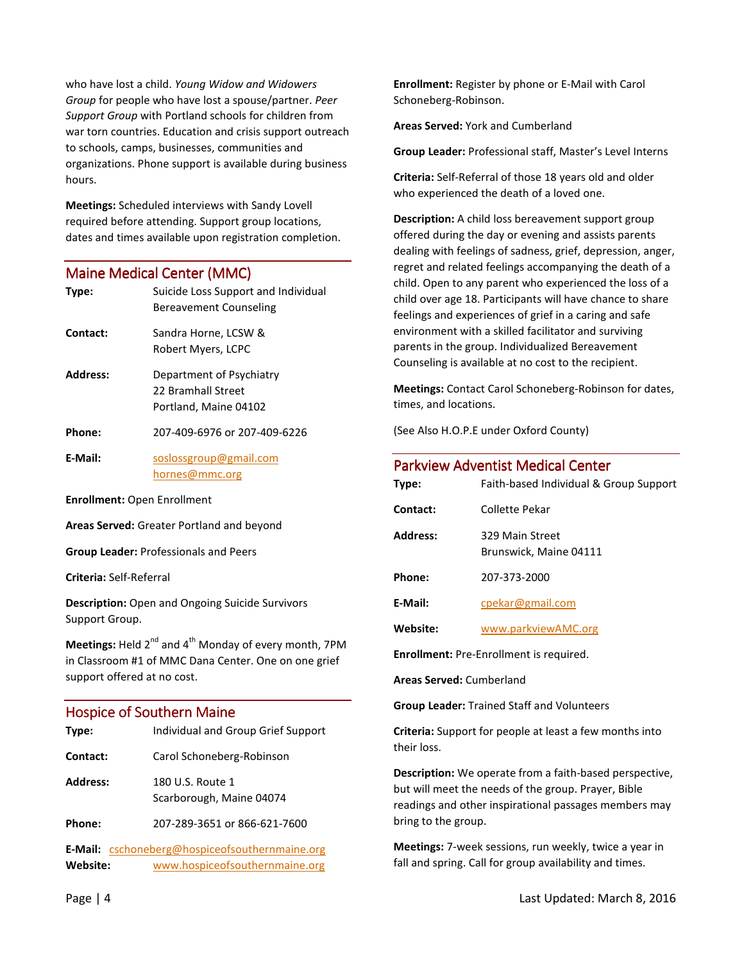who have lost a child. *Young Widow and Widowers Group* for people who have lost a spouse/partner. *Peer Support Group* with Portland schools for children from war torn countries. Education and crisis support outreach to schools, camps, businesses, communities and organizations. Phone support is available during business hours.

**Meetings:** Scheduled interviews with Sandy Lovell required before attending. Support group locations, dates and times available upon registration completion.

#### Maine Medical Center (MMC)

| Type:                              | Suicide Loss Support and Individual<br>Bereavement Counseling           |
|------------------------------------|-------------------------------------------------------------------------|
| Contact:                           | Sandra Horne, LCSW &<br>Robert Myers, LCPC                              |
| Address:                           | Department of Psychiatry<br>22 Bramhall Street<br>Portland, Maine 04102 |
| Phone:                             | 207-409-6976 or 207-409-6226                                            |
| E-Mail:                            | soslossgroup@gmail.com<br>hornes@mmc.org                                |
| <b>Enrollment:</b> Open Enrollment |                                                                         |

**Areas Served:** Greater Portland and beyond

**Group Leader:** Professionals and Peers

**Criteria:** Self-Referral

**Description:** Open and Ongoing Suicide Survivors Support Group.

**Meetings:** Held 2<sup>nd</sup> and 4<sup>th</sup> Monday of every month, 7PM in Classroom #1 of MMC Dana Center. One on one grief support offered at no cost.

#### Hospice of Southern Maine

| Type:           | Individual and Group Grief Support                                                      |
|-----------------|-----------------------------------------------------------------------------------------|
| Contact:        | Carol Schoneberg-Robinson                                                               |
| <b>Address:</b> | 180 U.S. Route 1<br>Scarborough, Maine 04074                                            |
| Phone:          | 207-289-3651 or 866-621-7600                                                            |
| Website:        | <b>E-Mail:</b> cschoneberg@hospiceofsouthernmaine.org<br>www.hospiceofsouthernmaine.org |

**Enrollment:** Register by phone or E-Mail with Carol Schoneberg-Robinson.

**Areas Served:** York and Cumberland

**Group Leader:** Professional staff, Master's Level Interns

**Criteria:** Self-Referral of those 18 years old and older who experienced the death of a loved one.

**Description:** A child loss bereavement support group offered during the day or evening and assists parents dealing with feelings of sadness, grief, depression, anger, regret and related feelings accompanying the death of a child. Open to any parent who experienced the loss of a child over age 18. Participants will have chance to share feelings and experiences of grief in a caring and safe environment with a skilled facilitator and surviving parents in the group. Individualized Bereavement Counseling is available at no cost to the recipient.

**Meetings:** Contact Carol Schoneberg-Robinson for dates, times, and locations.

(See Also H.O.P.E under Oxford County)

| Type:           | <b>Parkview Adventist Medical Center</b><br>Faith-based Individual & Group Support |
|-----------------|------------------------------------------------------------------------------------|
| Contact:        | Collette Pekar                                                                     |
| <b>Address:</b> | 329 Main Street<br>Brunswick, Maine 04111                                          |
| Phone:          | 207-373-2000                                                                       |
| E-Mail:         | cpekar@gmail.com                                                                   |
| Website:        | www.parkviewAMC.org                                                                |
| .               |                                                                                    |

**Enrollment:** Pre-Enrollment is required.

**Areas Served:** Cumberland

**Group Leader:** Trained Staff and Volunteers

**Criteria:** Support for people at least a few months into their loss.

**Description:** We operate from a faith-based perspective, but will meet the needs of the group. Prayer, Bible readings and other inspirational passages members may bring to the group.

**Meetings:** 7-week sessions, run weekly, twice a year in fall and spring. Call for group availability and times.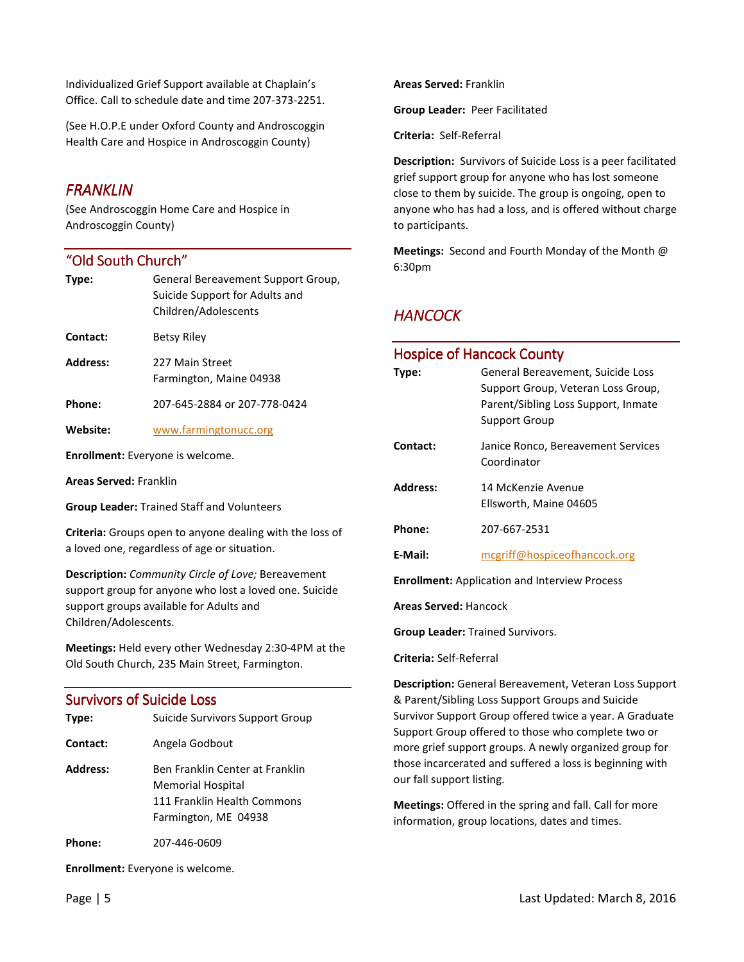Individualized Grief Support available at Chaplain's Office. Call to schedule date and time 207-373-2251.

(See H.O.P.E under Oxford County and Androscoggin Health Care and Hospice in Androscoggin County)

#### *FRANKLIN FRANKLIN*

(See Androscoggin Home Care and Hospice in Androscoggin County)

#### "Old South Church"

| Type:           | General Bereavement Support Group,<br>Suicide Support for Adults and<br>Children/Adolescents |
|-----------------|----------------------------------------------------------------------------------------------|
| Contact:        | Betsy Riley                                                                                  |
| <b>Address:</b> | 227 Main Street<br>Farmington, Maine 04938                                                   |
| Phone:          | 207-645-2884 or 207-778-0424                                                                 |
| Website:        | www.farmingtonucc.org                                                                        |

**Enrollment:** Everyone is welcome.

**Areas Served:** Franklin

**Group Leader:** Trained Staff and Volunteers

**Criteria:** Groups open to anyone dealing with the loss of a loved one, regardless of age or situation.

**Description:** *Community Circle of Love;* Bereavement support group for anyone who lost a loved one. Suicide support groups available for Adults and Children/Adolescents.

**Meetings:** Held every other Wednesday 2:30-4PM at the Old South Church, 235 Main Street, Farmington.

## **Survivors of Suicide Loss**

| Type:           | Suicide Survivors Support Group                                                                                    |
|-----------------|--------------------------------------------------------------------------------------------------------------------|
| Contact:        | Angela Godbout                                                                                                     |
| <b>Address:</b> | Ben Franklin Center at Franklin<br><b>Memorial Hospital</b><br>111 Franklin Health Commons<br>Farmington, ME 04938 |
| Phone:          | 207-446-0609                                                                                                       |

**Enrollment:** Everyone is welcome.

**Group Leader:** Peer Facilitated

**Criteria:** Self-Referral

**Areas Served:** Franklin

**Description:** Survivors of Suicide Loss is a peer facilitated grief support group for anyone who has lost someone close to them by suicide. The group is ongoing, open to anyone who has had a loss, and is offered without charge to participants.

**Meetings:** Second and Fourth Monday of the Month @ 6:30pm

### *HANCOCK HANCOCK*

#### Hospice of Hancock County

| Type:                                                | General Bereavement, Suicide Loss<br>Support Group, Veteran Loss Group,<br>Parent/Sibling Loss Support, Inmate<br>Support Group |
|------------------------------------------------------|---------------------------------------------------------------------------------------------------------------------------------|
| Contact:                                             | Janice Ronco, Bereavement Services<br>Coordinator                                                                               |
| Address:                                             | 14 McKenzie Avenue<br>Ellsworth, Maine 04605                                                                                    |
| Phone:                                               | 207-667-2531                                                                                                                    |
| E-Mail:                                              | mcgriff@hospiceofhancock.org                                                                                                    |
| <b>Enrollment:</b> Application and Interview Process |                                                                                                                                 |

**Areas Served:** Hancock

**Group Leader:** Trained Survivors.

#### **Criteria:** Self-Referral

**Description:** General Bereavement, Veteran Loss Support & Parent/Sibling Loss Support Groups and Suicide Survivor Support Group offered twice a year. A Graduate Support Group offered to those who complete two or more grief support groups. A newly organized group for those incarcerated and suffered a loss is beginning with our fall support listing.

**Meetings:** Offered in the spring and fall. Call for more information, group locations, dates and times.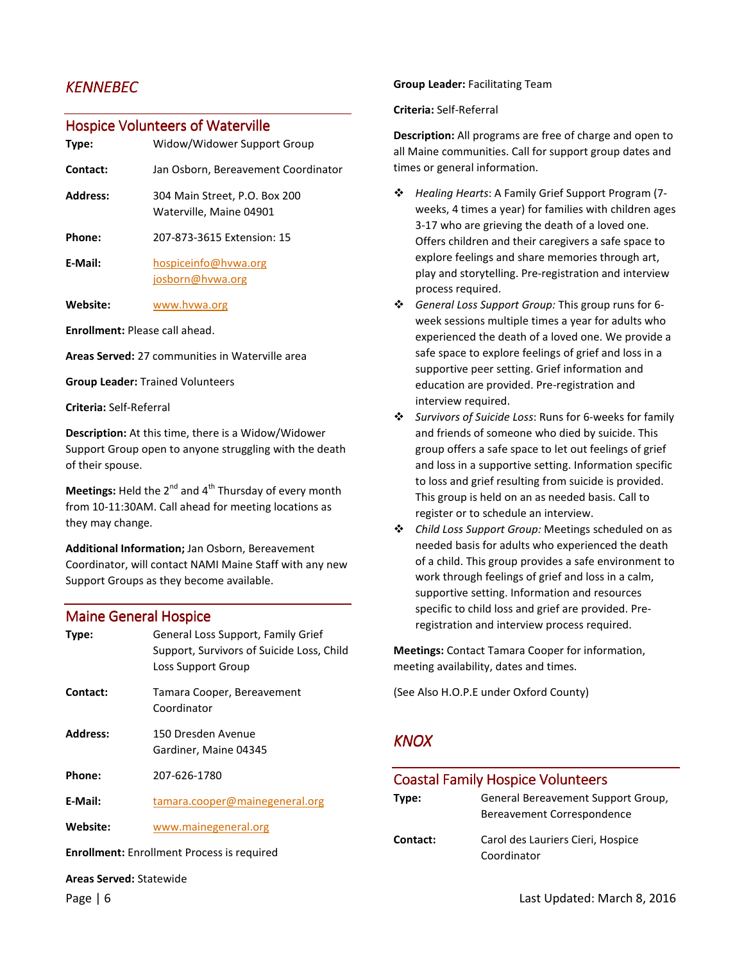## *KENNEBEC KENNEBEC*

#### Hospice Volunteers of Waterville

| Type:           | Widow/Widower Support Group                              |
|-----------------|----------------------------------------------------------|
| Contact:        | Jan Osborn, Bereavement Coordinator                      |
| <b>Address:</b> | 304 Main Street, P.O. Box 200<br>Waterville, Maine 04901 |
| Phone:          | 207-873-3615 Extension: 15                               |
| E-Mail:         | hospiceinfo@hvwa.org                                     |

josborn@hvwa.org

**Website:** www.hvwa.org

**Enrollment:** Please call ahead.

**Areas Served:** 27 communities in Waterville area

**Group Leader:** Trained Volunteers

**Criteria:** Self-Referral

**Description:** At this time, there is a Widow/Widower Support Group open to anyone struggling with the death of their spouse.

**Meetings:** Held the 2<sup>nd</sup> and 4<sup>th</sup> Thursday of every month from 10-11:30AM. Call ahead for meeting locations as they may change.

**Additional Information;** Jan Osborn, Bereavement Coordinator, will contact NAMI Maine Staff with any new Support Groups as they become available.

#### **Maine General Hospice**

| Type:                                             | General Loss Support, Family Grief<br>Support, Survivors of Suicide Loss, Child<br>Loss Support Group |
|---------------------------------------------------|-------------------------------------------------------------------------------------------------------|
| Contact:                                          | Tamara Cooper, Bereavement<br>Coordinator                                                             |
| Address:                                          | 150 Dresden Avenue<br>Gardiner, Maine 04345                                                           |
| Phone:                                            | 207-626-1780                                                                                          |
| E-Mail:                                           | tamara.cooper@mainegeneral.org                                                                        |
| Website:                                          | www.mainegeneral.org                                                                                  |
| <b>Enrollment:</b> Enrollment Process is required |                                                                                                       |
| <b>Areas Served: Statewide</b>                    |                                                                                                       |

#### **Group Leader:** Facilitating Team

**Criteria:** Self-Referral

**Description:** All programs are free of charge and open to all Maine communities. Call for support group dates and times or general information.

- *Healing Hearts*: A Family Grief Support Program (7 weeks, 4 times a year) for families with children ages 3-17 who are grieving the death of a loved one. Offers children and their caregivers a safe space to explore feelings and share memories through art, play and storytelling. Pre-registration and interview process required.
- *General Loss Support Group:* This group runs for 6 week sessions multiple times a year for adults who experienced the death of a loved one. We provide a safe space to explore feelings of grief and loss in a supportive peer setting. Grief information and education are provided. Pre-registration and interview required.
- *Survivors of Suicide Loss*: Runs for 6-weeks for family and friends of someone who died by suicide. This group offers a safe space to let out feelings of grief and loss in a supportive setting. Information specific to loss and grief resulting from suicide is provided. This group is held on an as needed basis. Call to register or to schedule an interview.
- *Child Loss Support Group:* Meetings scheduled on as needed basis for adults who experienced the death of a child. This group provides a safe environment to work through feelings of grief and loss in a calm, supportive setting. Information and resources specific to child loss and grief are provided. Preregistration and interview process required.

**Meetings:** Contact Tamara Cooper for information, meeting availability, dates and times.

(See Also H.O.P.E under Oxford County)

### *KNOX*

| <b>Coastal Family Hospice Volunteers</b> |                                                                  |
|------------------------------------------|------------------------------------------------------------------|
| Type:                                    | General Bereavement Support Group,<br>Bereavement Correspondence |
| Contact:                                 | Carol des Lauriers Cieri, Hospice<br>Coordinator                 |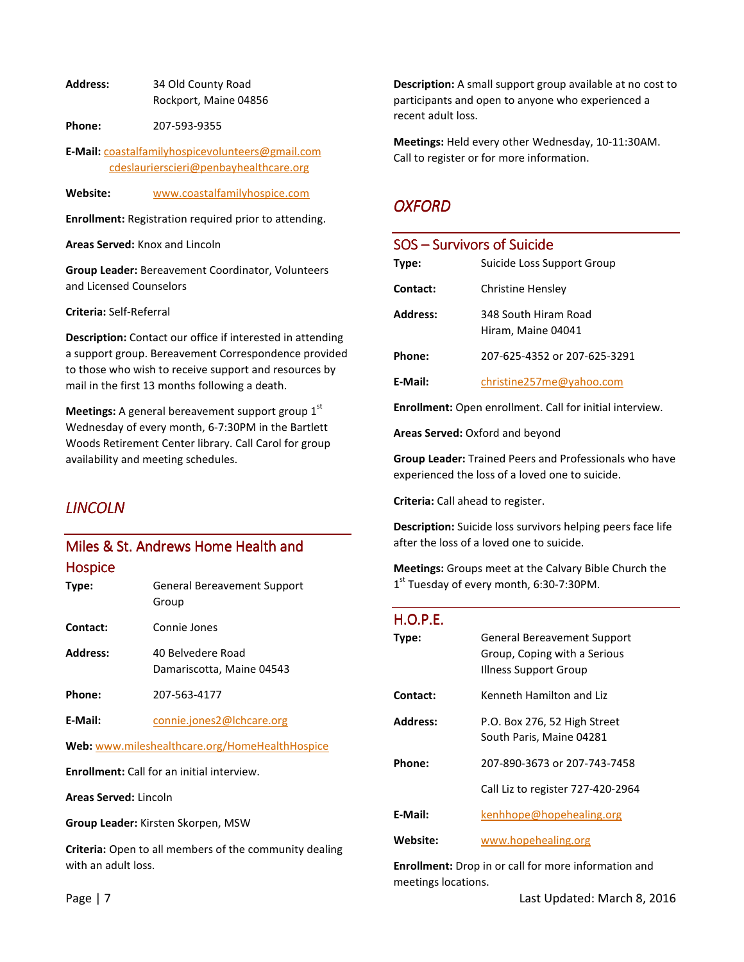**Address:** 34 Old County Road Rockport, Maine 04856

**Phone:** 207-593-9355

**E-Mail:** coastalfamilyhospicevolunteers@gmail.com cdeslaurierscieri@penbayhealthcare.org

**Website:** www.coastalfamilyhospice.com

**Enrollment:** Registration required prior to attending.

**Areas Served:** Knox and Lincoln

**Group Leader:** Bereavement Coordinator, Volunteers and Licensed Counselors

**Criteria:** Self-Referral

**Description:** Contact our office if interested in attending a support group. Bereavement Correspondence provided to those who wish to receive support and resources by mail in the first 13 months following a death.

**Meetings:** A general bereavement support group 1<sup>st</sup> Wednesday of every month, 6-7:30PM in the Bartlett Woods Retirement Center library. Call Carol for group availability and meeting schedules.

# *LINCOLN*

# Miles & St. Andrews Home Health and Hospice

| Type:    | <b>General Bereavement Support</b><br>Group |
|----------|---------------------------------------------|
| Contact: | Connie Jones                                |

Address: 40 Belvedere Road Damariscotta, Maine 04543 **Phone:** 207-563-4177

E-Mail: **connie.jones2@lchcare.org** 

**Web:** www.mileshealthcare.org/HomeHealthHospice

**Enrollment:** Call for an initial interview.

**Areas Served:** Lincoln

**Group Leader:** Kirsten Skorpen, MSW

**Criteria:** Open to all members of the community dealing with an adult loss.

**Description:** A small support group available at no cost to participants and open to anyone who experienced a recent adult loss.

**Meetings:** Held every other Wednesday, 10-11:30AM. Call to register or for more information.

#### *OXFORD*

| SOS – Survivors of Suicide |                                            |
|----------------------------|--------------------------------------------|
| Type:                      | Suicide Loss Support Group                 |
| Contact:                   | Christine Hensley                          |
| <b>Address:</b>            | 348 South Hiram Road<br>Hiram, Maine 04041 |
| Phone:                     | 207-625-4352 or 207-625-3291               |
| F-Mail:                    | christine257me@yahoo.com                   |

**Enrollment:** Open enrollment. Call for initial interview.

**Areas Served:** Oxford and beyond

**Group Leader:** Trained Peers and Professionals who have experienced the loss of a loved one to suicide.

**Criteria:** Call ahead to register.

**Description:** Suicide loss survivors helping peers face life after the loss of a loved one to suicide.

**Meetings:** Groups meet at the Calvary Bible Church the 1<sup>st</sup> Tuesday of every month, 6:30-7:30PM.

#### $H.O.P.E.$

| Type:    | General Bereavement Support<br>Group, Coping with a Serious<br>Illness Support Group |
|----------|--------------------------------------------------------------------------------------|
| Contact: | Kenneth Hamilton and Liz                                                             |
| Address: | P.O. Box 276, 52 High Street<br>South Paris, Maine 04281                             |
| Phone:   | 207-890-3673 or 207-743-7458                                                         |
|          | Call Liz to register 727-420-2964                                                    |
| E-Mail:  | kenhhope@hopehealing.org                                                             |
| Website: | www.hopehealing.org                                                                  |

**Enrollment:** Drop in or call for more information and meetings locations.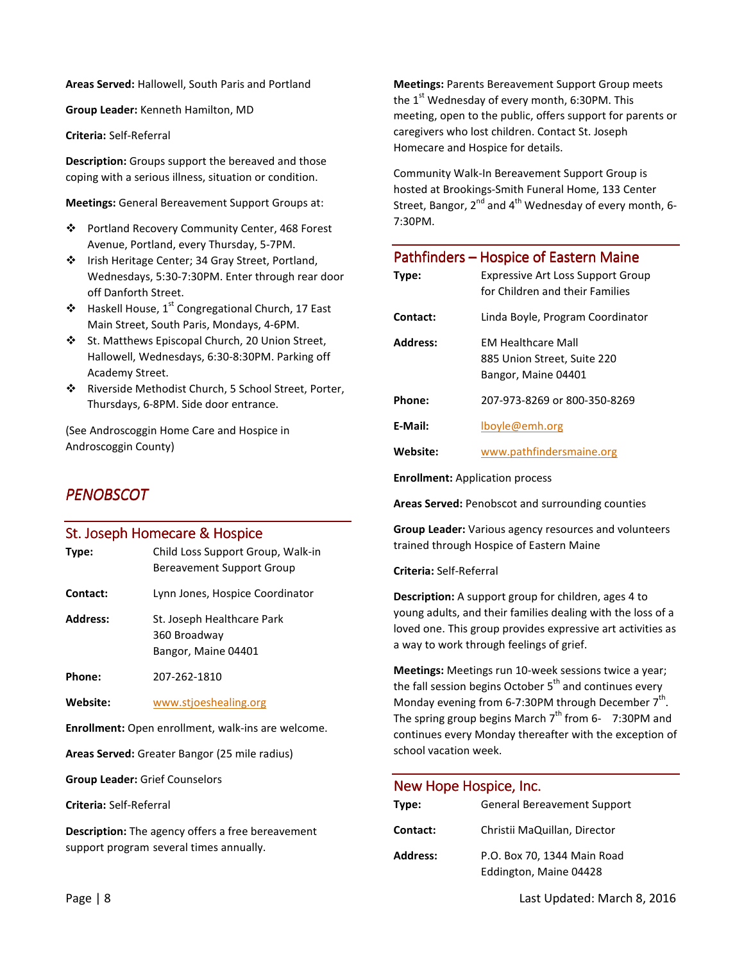**Areas Served:** Hallowell, South Paris and Portland

**Group Leader:** Kenneth Hamilton, MD

**Criteria:** Self-Referral

**Description:** Groups support the bereaved and those coping with a serious illness, situation or condition.

**Meetings:** General Bereavement Support Groups at:

- Portland Recovery Community Center, 468 Forest Avenue, Portland, every Thursday, 5-7PM.
- ❖ Irish Heritage Center; 34 Gray Street, Portland, Wednesdays, 5:30-7:30PM. Enter through rear door off Danforth Street.
- $\triangleq$  Haskell House, 1<sup>st</sup> Congregational Church, 17 East Main Street, South Paris, Mondays, 4-6PM.
- St. Matthews Episcopal Church, 20 Union Street, Hallowell, Wednesdays, 6:30-8:30PM. Parking off Academy Street.
- Riverside Methodist Church, 5 School Street, Porter, Thursdays, 6-8PM. Side door entrance.

(See Androscoggin Home Care and Hospice in Androscoggin County)

# *PENOBSCOT PENOBSCOT*

#### St. Joseph Homecare & Hospice

**Type:** Child Loss Support Group, Walk-in Bereavement Support Group **Contact:** Lynn Jones, Hospice Coordinator **Address:** St. Joseph Healthcare Park 360 Broadway Bangor, Maine 04401 **Phone:** 207-262-1810 **Website:** www.stjoeshealing.org

**Enrollment:** Open enrollment, walk-ins are welcome.

**Areas Served:** Greater Bangor (25 mile radius)

**Group Leader:** Grief Counselors

**Criteria:** Self-Referral

**Description:** The agency offers a free bereavement support program several times annually.

**Meetings:** Parents Bereavement Support Group meets the  $1<sup>st</sup>$  Wednesday of every month, 6:30PM. This meeting, open to the public, offers support for parents or caregivers who lost children. Contact St. Joseph Homecare and Hospice for details.

Community Walk-In Bereavement Support Group is hosted at Brookings-Smith Funeral Home, 133 Center Street, Bangor,  $2^{nd}$  and  $4^{th}$  Wednesday of every month, 6-7:30PM.

| Type:    | Pathfinders - Hospice of Eastern Maine<br><b>Expressive Art Loss Support Group</b><br>for Children and their Families |
|----------|-----------------------------------------------------------------------------------------------------------------------|
| Contact: | Linda Boyle, Program Coordinator                                                                                      |
| Address: | <b>FM Healthcare Mall</b><br>885 Union Street, Suite 220<br>Bangor, Maine 04401                                       |
| Phone:   | 207-973-8269 or 800-350-8269                                                                                          |
| E-Mail:  | lboyle@emh.org                                                                                                        |
| Website: | www.pathfindersmaine.org                                                                                              |

**Enrollment:** Application process

**Areas Served:** Penobscot and surrounding counties

**Group Leader:** Various agency resources and volunteers trained through Hospice of Eastern Maine

**Criteria:** Self-Referral

**Description:** A support group for children, ages 4 to young adults, and their families dealing with the loss of a loved one. This group provides expressive art activities as a way to work through feelings of grief.

**Meetings:** Meetings run 10-week sessions twice a year; the fall session begins October  $5<sup>th</sup>$  and continues every Monday evening from 6-7:30PM through December  $7^{\text{th}}$ . The spring group begins March  $7<sup>th</sup>$  from 6- 7:30PM and continues every Monday thereafter with the exception of school vacation week.

#### New Hope Hospice, Inc.

| Type:           | <b>General Bereavement Support</b>                    |
|-----------------|-------------------------------------------------------|
| Contact:        | Christii MaQuillan, Director                          |
| <b>Address:</b> | P.O. Box 70, 1344 Main Road<br>Eddington, Maine 04428 |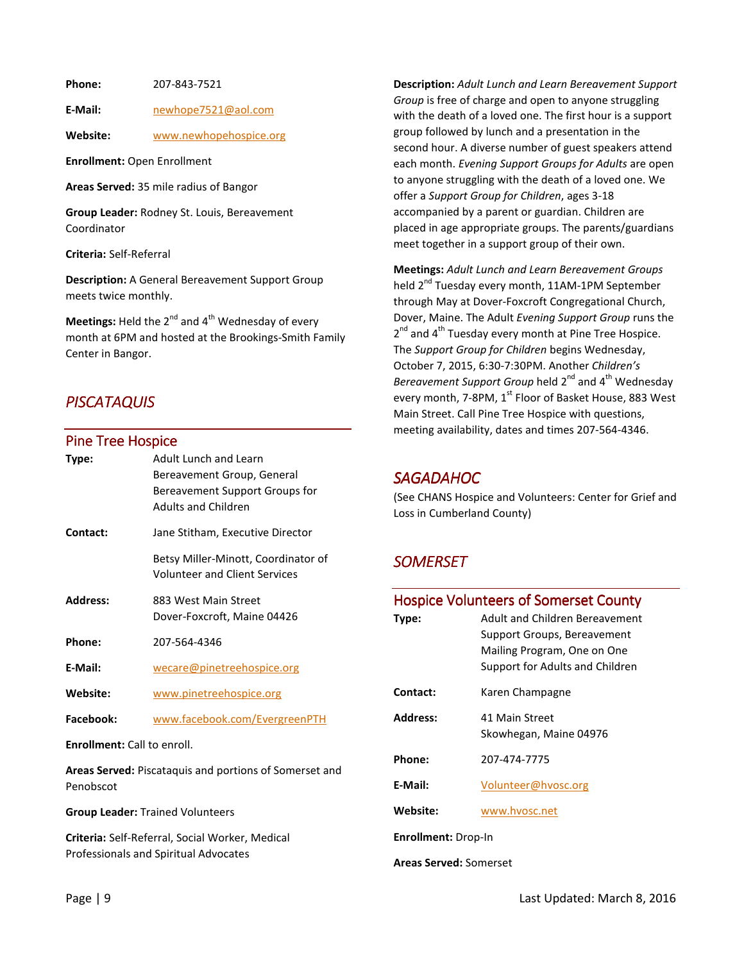**Phone:** 207-843-7521

**E-Mail:** newhope7521@aol.com

**Website:** www.newhopehospice.org

**Enrollment:** Open Enrollment

**Areas Served:** 35 mile radius of Bangor

**Group Leader:** Rodney St. Louis, Bereavement Coordinator

**Criteria:** Self-Referral

**Description:** A General Bereavement Support Group meets twice monthly.

**Meetings:** Held the 2<sup>nd</sup> and 4<sup>th</sup> Wednesday of every month at 6PM and hosted at the Brookings-Smith Family Center in Bangor.

## *PISCATAQUIS PISCATAQUIS*

#### Pine Tree Hospice

| Type:                                                                      | Adult Lunch and Learn<br>Bereavement Group, General<br>Bereavement Support Groups for<br><b>Adults and Children</b> |
|----------------------------------------------------------------------------|---------------------------------------------------------------------------------------------------------------------|
| Contact:                                                                   | Jane Stitham, Executive Director                                                                                    |
|                                                                            | Betsy Miller-Minott, Coordinator of<br><b>Volunteer and Client Services</b>                                         |
| Address:                                                                   | 883 West Main Street<br>Dover-Foxcroft, Maine 04426                                                                 |
| Phone:                                                                     | 207-564-4346                                                                                                        |
| E-Mail:                                                                    | wecare@pinetreehospice.org                                                                                          |
| Website:                                                                   | www.pinetreehospice.org                                                                                             |
| Facebook:                                                                  | www.facebook.com/EvergreenPTH                                                                                       |
| <b>Enrollment:</b> Call to enroll.                                         |                                                                                                                     |
| <b>Areas Served:</b> Piscataquis and portions of Somerset and<br>Penobscot |                                                                                                                     |
| <b>Group Leader: Trained Volunteers</b>                                    |                                                                                                                     |

**Criteria:** Self-Referral, Social Worker, Medical Professionals and Spiritual Advocates

**Description:** *Adult Lunch and Learn Bereavement Support Group* is free of charge and open to anyone struggling with the death of a loved one. The first hour is a support group followed by lunch and a presentation in the second hour. A diverse number of guest speakers attend each month. *Evening Support Groups for Adults* are open to anyone struggling with the death of a loved one. We offer a *Support Group for Children*, ages 3-18 accompanied by a parent or guardian. Children are placed in age appropriate groups. The parents/guardians meet together in a support group of their own.

**Meetings:** *Adult Lunch and Learn Bereavement Groups* held 2<sup>nd</sup> Tuesday every month, 11AM-1PM September through May at Dover-Foxcroft Congregational Church, Dover, Maine. The Adult *Evening Support Group* runs the 2<sup>nd</sup> and 4<sup>th</sup> Tuesday every month at Pine Tree Hospice. The *Support Group for Children* begins Wednesday, October 7, 2015, 6:30-7:30PM. Another *Children's*  Bereavement Support Group held 2<sup>nd</sup> and 4<sup>th</sup> Wednesday every month, 7-8PM, 1<sup>st</sup> Floor of Basket House, 883 West Main Street. Call Pine Tree Hospice with questions, meeting availability, dates and times 207-564-4346.

#### *SAGADAHOC AGADAHOC*

(See CHANS Hospice and Volunteers: Center for Grief and Loss in Cumberland County)

### *SOMERSET SOMERSET OMERSET*

| <b>Hospice Volunteers of Somerset County</b> |                                 |  |
|----------------------------------------------|---------------------------------|--|
| Type:                                        | Adult and Children Bereavement  |  |
|                                              | Support Groups, Bereavement     |  |
|                                              | Mailing Program, One on One     |  |
|                                              | Support for Adults and Children |  |
| Contact:                                     | Karen Champagne                 |  |
| Address:                                     | 41 Main Street                  |  |
|                                              | Skowhegan, Maine 04976          |  |
| Phone:                                       | 207-474-7775                    |  |
|                                              |                                 |  |
| E-Mail:                                      | Volunteer@hvosc.org             |  |
| Website:                                     | www.hvosc.net                   |  |
| <b>Enrollment: Drop-In</b>                   |                                 |  |
| <b>Areas Served: Somerset</b>                |                                 |  |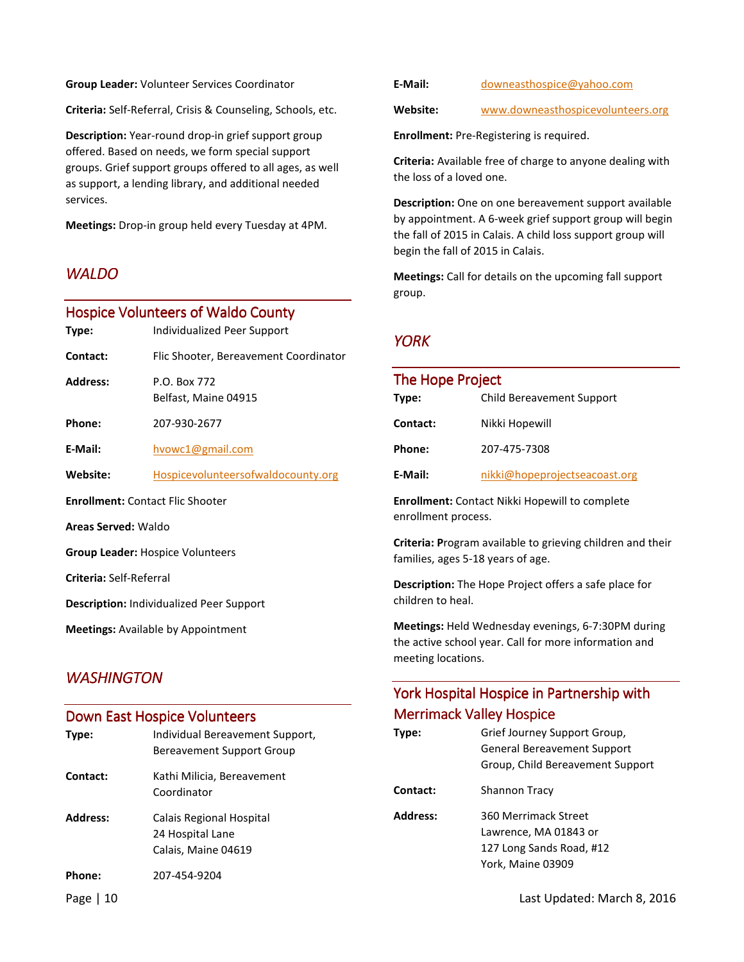**Group Leader:** Volunteer Services Coordinator

**Criteria:** Self-Referral, Crisis & Counseling, Schools, etc.

**Description:** Year-round drop-in grief support group offered. Based on needs, we form special support groups. Grief support groups offered to all ages, as well as support, a lending library, and additional needed services.

**Meetings:** Drop-in group held every Tuesday at 4PM.

### *WALDO*

#### Hospice Volunteers of Waldo County

| Type:                                           | Individualized Peer Support           |  |
|-------------------------------------------------|---------------------------------------|--|
| Contact:                                        | Flic Shooter, Bereavement Coordinator |  |
| <b>Address:</b>                                 | P.O. Box 772<br>Belfast, Maine 04915  |  |
| Phone:                                          | 207-930-2677                          |  |
| E-Mail:                                         | hvowc1@gmail.com                      |  |
| Website:                                        | Hospicevolunteers of wald ocounty.org |  |
| <b>Enrollment: Contact Flic Shooter</b>         |                                       |  |
| <b>Areas Served: Waldo</b>                      |                                       |  |
| <b>Group Leader: Hospice Volunteers</b>         |                                       |  |
| Criteria: Self-Referral                         |                                       |  |
| <b>Description:</b> Individualized Peer Support |                                       |  |
|                                                 |                                       |  |

**Meetings:** Available by Appointment

### **WASHINGTON**

# Down East Hospice Volunteers **Type:** Individual Bereavement Support, Bereavement Support Group **Contact:** Kathi Milicia, Bereavement Coordinator **Address:** Calais Regional Hospital 24 Hospital Lane Calais, Maine 04619 **Phone:** 207-454-9204

| E-Mail: | downeasthospice@yahoo.com |
|---------|---------------------------|
|---------|---------------------------|

**Website:** www.downeasthospicevolunteers.org

**Enrollment:** Pre-Registering is required.

**Criteria:** Available free of charge to anyone dealing with the loss of a loved one.

**Description:** One on one bereavement support available by appointment. A 6-week grief support group will begin the fall of 2015 in Calais. A child loss support group will begin the fall of 2015 in Calais.

**Meetings:** Call for details on the upcoming fall support group.

### *YORK*

| The Hope Project |                               |  |
|------------------|-------------------------------|--|
| Type:            | Child Bereavement Support     |  |
| Contact:         | Nikki Hopewill                |  |
| Phone:           | 207-475-7308                  |  |
| E-Mail:          | nikki@hopeprojectseacoast.org |  |

**Enrollment:** Contact Nikki Hopewill to complete enrollment process.

**Criteria: P**rogram available to grieving children and their families, ages 5-18 years of age.

**Description:** The Hope Project offers a safe place for children to heal.

**Meetings:** Held Wednesday evenings, 6-7:30PM during the active school year. Call for more information and meeting locations.

## York Hospital Hospice in Partnership with **Merrimack Valley Hospice**

| Type:           | Grief Journey Support Group,<br><b>General Bereavement Support</b><br>Group, Child Bereavement Support |
|-----------------|--------------------------------------------------------------------------------------------------------|
| Contact:        | <b>Shannon Tracy</b>                                                                                   |
| <b>Address:</b> | 360 Merrimack Street<br>Lawrence, MA 01843 or<br>127 Long Sands Road, #12<br>York, Maine 03909         |